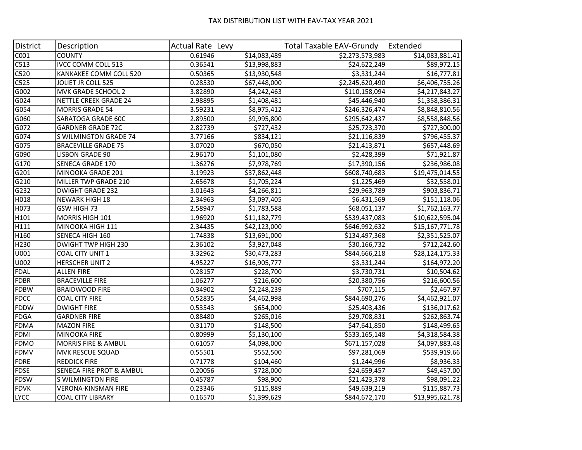## TAX DISTRIBUTION LIST WITH EAV-TAX YEAR 2021

| District                 | Description                         | Actual Rate   Levy |              | <b>Total Taxable EAV-Grundy</b> | Extended        |
|--------------------------|-------------------------------------|--------------------|--------------|---------------------------------|-----------------|
| C001                     | <b>COUNTY</b>                       | 0.61946            | \$14,083,489 | \$2,273,573,983                 | \$14,083,881.41 |
| C513                     | IVCC COMM COLL 513                  | 0.36541            | \$13,998,883 | \$24,622,249                    | \$89,972.15     |
| C520                     | KANKAKEE COMM COLL 520              | 0.50365            | \$13,930,548 | \$3,331,244                     | \$16,777.81     |
| $\overline{\text{C525}}$ | JOLIET JR COLL 525                  | 0.28530            | \$67,448,000 | \$2,245,620,490                 | \$6,406,755.26  |
| $\sqrt{6002}$            | MVK GRADE SCHOOL 2                  | 3.82890            | \$4,242,463  | \$110,158,094                   | \$4,217,843.27  |
| G024                     | <b>NETTLE CREEK GRADE 24</b>        | 2.98895            | \$1,408,481  | \$45,446,940                    | \$1,358,386.31  |
| G054                     | <b>MORRIS GRADE 54</b>              | 3.59231            | \$8,975,412  | \$246,326,474                   | \$8,848,810.56  |
| G060                     | SARATOGA GRADE 60C                  | 2.89500            | \$9,995,800  | \$295,642,437                   | \$8,558,848.56  |
| G072                     | <b>GARDNER GRADE 72C</b>            | 2.82739            | \$727,432    | \$25,723,370                    | \$727,300.00    |
| G074                     | S WILMINGTON GRADE 74               | 3.77166            | \$834,121    | \$21,116,839                    | \$796,455.37    |
| G075                     | <b>BRACEVILLE GRADE 75</b>          | 3.07020            | \$670,050    | \$21,413,871                    | \$657,448.69    |
| $\overline{G}090$        | <b>LISBON GRADE 90</b>              | 2.96170            | \$1,101,080  | \$2,428,399                     | \$71,921.87     |
| G170                     | SENECA GRADE 170                    | 1.36276            | \$7,978,769  | \$17,390,156                    | \$236,986.08    |
| G201                     | MINOOKA GRADE 201                   | 3.19923            | \$37,862,448 | \$608,740,683                   | \$19,475,014.55 |
| G210                     | MILLER TWP GRADE 210                | 2.65678            | \$1,705,224  | \$1,225,469                     | \$32,558.01     |
| G232                     | <b>DWIGHT GRADE 232</b>             | 3.01643            | \$4,266,811  | \$29,963,789                    | \$903,836.71    |
| H018                     | <b>NEWARK HIGH 18</b>               | 2.34963            | \$3,097,405  | \$6,431,569                     | \$151,118.06    |
| H073                     | GSW HIGH 73                         | 2.58947            | \$1,783,588  | \$68,051,137                    | \$1,762,163.77  |
| H <sub>101</sub>         | MORRIS HIGH 101                     | 1.96920            | \$11,182,779 | \$539,437,083                   | \$10,622,595.04 |
| H111                     | MINOOKA HIGH 111                    | 2.34435            | \$42,123,000 | \$646,992,632                   | \$15,167,771.78 |
| H160                     | SENECA HIGH 160                     | 1.74838            | \$13,691,000 | \$134,497,368                   | \$2,351,525.07  |
| H230                     | <b>DWIGHT TWP HIGH 230</b>          | 2.36102            | \$3,927,048  | \$30,166,732                    | \$712,242.60    |
| U001                     | COAL CITY UNIT 1                    | 3.32962            | \$30,473,283 | \$844,666,218                   | \$28,124,175.33 |
| U002                     | <b>HERSCHER UNIT 2</b>              | 4.95227            | \$16,905,777 | \$3,331,244                     | \$164,972.20    |
| <b>FDAL</b>              | <b>ALLEN FIRE</b>                   | 0.28157            | \$228,700    | \$3,730,731                     | \$10,504.62     |
| FDBR                     | <b>BRACEVILLE FIRE</b>              | 1.06277            | \$216,600    | \$20,380,756                    | \$216,600.56    |
| <b>FDBW</b>              | <b>BRAIDWOOD FIRE</b>               | 0.34902            | \$2,248,239  | \$707,115                       | \$2,467.97      |
| <b>FDCC</b>              | <b>COAL CITY FIRE</b>               | 0.52835            | \$4,462,998  | \$844,690,276                   | \$4,462,921.07  |
| <b>FDDW</b>              | <b>DWIGHT FIRE</b>                  | 0.53543            | \$654,000    | \$25,403,436                    | \$136,017.62    |
| <b>FDGA</b>              | <b>GARDNER FIRE</b>                 | 0.88480            | \$265,016    | \$29,708,831                    | \$262,863.74    |
| <b>FDMA</b>              | <b>MAZON FIRE</b>                   | 0.31170            | \$148,500    | \$47,641,850                    | \$148,499.65    |
| <b>FDMI</b>              | <b>MINOOKA FIRE</b>                 | 0.80999            | \$5,130,100  | \$533,165,148                   | \$4,318,584.38  |
| <b>FDMO</b>              | <b>MORRIS FIRE &amp; AMBUL</b>      | 0.61057            | \$4,098,000  | \$671,157,028                   | \$4,097,883.48  |
| <b>FDMV</b>              | <b>MVK RESCUE SQUAD</b>             | 0.55501            | \$552,500    | \$97,281,069                    | \$539,919.66    |
| <b>FDRE</b>              | <b>REDDICK FIRE</b>                 | 0.71778            | \$104,460    | \$1,244,996                     | \$8,936.33      |
| <b>FDSE</b>              | <b>SENECA FIRE PROT &amp; AMBUL</b> | 0.20056            | \$728,000    | \$24,659,457                    | \$49,457.00     |
| <b>FDSW</b>              | <b>S WILMINGTON FIRE</b>            | 0.45787            | \$98,900     | \$21,423,378                    | \$98,091.22     |
| <b>FDVK</b>              | <b>VERONA-KINSMAN FIRE</b>          | 0.23346            | \$115,889    | \$49,639,219                    | \$115,887.73    |
| <b>LYCC</b>              | <b>COAL CITY LIBRARY</b>            | 0.16570            | \$1,399,629  | \$844,672,170                   | \$13,995,621.78 |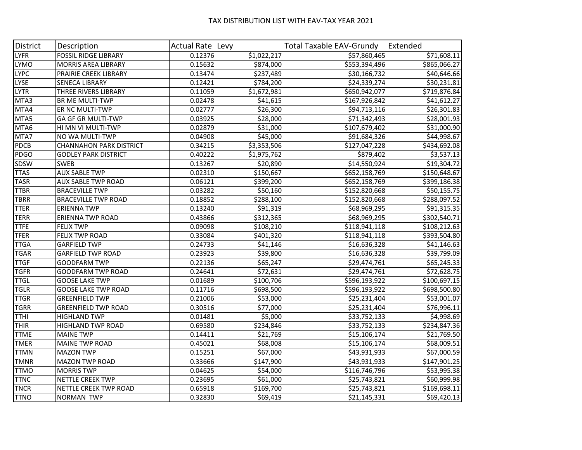## TAX DISTRIBUTION LIST WITH EAV-TAX YEAR 2021

| District    | Description                    | Actual Rate   Levy |             | <b>Total Taxable EAV-Grundy</b> | Extended     |
|-------------|--------------------------------|--------------------|-------------|---------------------------------|--------------|
| <b>LYFR</b> | <b>FOSSIL RIDGE LIBRARY</b>    | 0.12376            | \$1,022,217 | \$57,860,465                    | \$71,608.11  |
| <b>LYMO</b> | <b>MORRIS AREA LIBRARY</b>     | 0.15632            | \$874,000   | \$553,394,496                   | \$865,066.27 |
| LYPC        | PRAIRIE CREEK LIBRARY          | 0.13474            | \$237,489   | \$30,166,732                    | \$40,646.66  |
| <b>LYSE</b> | <b>SENECA LIBRARY</b>          | 0.12421            | \$784,200   | \$24,339,274                    | \$30,231.81  |
| <b>LYTR</b> | THREE RIVERS LIBRARY           | 0.11059            | \$1,672,981 | \$650,942,077                   | \$719,876.84 |
| MTA3        | BR ME MULTI-TWP                | 0.02478            | \$41,615    | \$167,926,842                   | \$41,612.27  |
| MTA4        | ER NC MULTI-TWP                | 0.02777            | \$26,300    | \$94,713,116                    | \$26,301.83  |
| MTA5        | GA GF GR MULTI-TWP             | 0.03925            | \$28,000    | \$71,342,493                    | \$28,001.93  |
| MTA6        | HI MN VI MULTI-TWP             | 0.02879            | \$31,000    | \$107,679,402                   | \$31,000.90  |
| MTA7        | NO WA MULTI-TWP                | 0.04908            | \$45,000    | \$91,684,326                    | \$44,998.67  |
| <b>PDCB</b> | <b>CHANNAHON PARK DISTRICT</b> | 0.34215            | \$3,353,506 | \$127,047,228                   | \$434,692.08 |
| PDGO        | <b>GODLEY PARK DISTRICT</b>    | 0.40222            | \$1,975,762 | \$879,402                       | \$3,537.13   |
| SDSW        | <b>SWEB</b>                    | 0.13267            | \$20,890    | \$14,550,924                    | \$19,304.72  |
| <b>TTAS</b> | <b>AUX SABLE TWP</b>           | 0.02310            | \$150,667   | \$652,158,769                   | \$150,648.67 |
| <b>TASR</b> | <b>AUX SABLE TWP ROAD</b>      | 0.06121            | \$399,200   | \$652,158,769                   | \$399,186.38 |
| <b>TTBR</b> | <b>BRACEVILLE TWP</b>          | 0.03282            | \$50,160    | \$152,820,668                   | \$50,155.75  |
| <b>TBRR</b> | <b>BRACEVILLE TWP ROAD</b>     | 0.18852            | \$288,100   | \$152,820,668                   | \$288,097.52 |
| TTER        | <b>ERIENNA TWP</b>             | 0.13240            | \$91,319    | \$68,969,295                    | \$91,315.35  |
| <b>TERR</b> | <b>ERIENNA TWP ROAD</b>        | 0.43866            | \$312,365   | \$68,969,295                    | \$302,540.71 |
| <b>TTFE</b> | <b>FELIX TWP</b>               | 0.09098            | \$108,210   | \$118,941,118                   | \$108,212.63 |
| <b>TFER</b> | FELIX TWP ROAD                 | 0.33084            | \$401,320   | \$118,941,118                   | \$393,504.80 |
| <b>TTGA</b> | <b>GARFIELD TWP</b>            | 0.24733            | \$41,146    | \$16,636,328                    | \$41,146.63  |
| <b>TGAR</b> | <b>GARFIELD TWP ROAD</b>       | 0.23923            | \$39,800    | \$16,636,328                    | \$39,799.09  |
| <b>TTGF</b> | <b>GOODFARM TWP</b>            | 0.22136            | \$65,247    | \$29,474,761                    | \$65,245.33  |
| <b>TGFR</b> | <b>GOODFARM TWP ROAD</b>       | 0.24641            | \$72,631    | \$29,474,761                    | \$72,628.75  |
| <b>TTGL</b> | <b>GOOSE LAKE TWP</b>          | 0.01689            | \$100,706   | \$596,193,922                   | \$100,697.15 |
| <b>TGLR</b> | <b>GOOSE LAKE TWP ROAD</b>     | 0.11716            | \$698,500   | \$596,193,922                   | \$698,500.80 |
| <b>TTGR</b> | <b>GREENFIELD TWP</b>          | 0.21006            | \$53,000    | \$25,231,404                    | \$53,001.07  |
| <b>TGRR</b> | <b>GREENFIELD TWP ROAD</b>     | 0.30516            | \$77,000    | \$25,231,404                    | \$76,996.11  |
| <b>TTHI</b> | <b>HIGHLAND TWP</b>            | 0.01481            | \$5,000     | \$33,752,133                    | \$4,998.69   |
| THIR        | <b>HIGHLAND TWP ROAD</b>       | 0.69580            | \$234,846   | \$33,752,133                    | \$234,847.36 |
| <b>TTME</b> | <b>MAINE TWP</b>               | 0.14411            | \$21,769    | \$15,106,174                    | \$21,769.50  |
| <b>TMER</b> | <b>MAINE TWP ROAD</b>          | 0.45021            | \$68,008    | \$15,106,174                    | \$68,009.51  |
| <b>TTMN</b> | <b>MAZON TWP</b>               | 0.15251            | \$67,000    | \$43,931,933                    | \$67,000.59  |
| <b>TMNR</b> | <b>MAZON TWP ROAD</b>          | 0.33666            | \$147,900   | \$43,931,933                    | \$147,901.25 |
| <b>TTMO</b> | <b>MORRIS TWP</b>              | 0.04625            | \$54,000    | \$116,746,796                   | \$53,995.38  |
| <b>TTNC</b> | <b>NETTLE CREEK TWP</b>        | 0.23695            | \$61,000    | \$25,743,821                    | \$60,999.98  |
| TNCR        | NETTLE CREEK TWP ROAD          | 0.65918            | \$169,700   | \$25,743,821                    | \$169,698.11 |
| <b>TTNO</b> | <b>NORMAN TWP</b>              | 0.32830            | \$69,419    | \$21,145,331                    | \$69,420.13  |